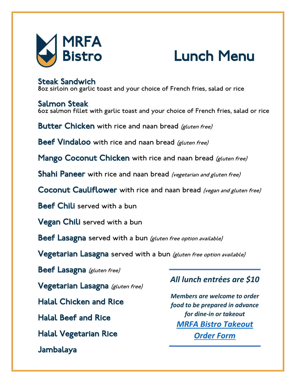

Salmon Steak<br>60z salmon fillet with garlic toast and your choice of French fries, salad or rice

Butter Chicken with rice and naan bread (gluten free)

Beef Vindaloo with rice and naan bread (gluten free)

Mango Coconut Chicken with rice and naan bread (gluten free)

Shahi Paneer with rice and naan bread (vegetarian and gluten free)

Coconut Cauliflower with rice and naan bread (vegan and gluten free)

Beef Chili served with a bun

Vegan Chili served with a bun

Beef Lasagna served with a bun (gluten free option available)

Vegetarian Lasagna served with a bun (gluten free option available)

Beef Lasagna (gluten free)

Vegetarian Lasagna (gluten free)

Halal Chicken and Rice

Halal Beef and Rice

Halal Vegetarian Rice

Jambalaya

### *All lunch entrées are \$10*

*Members are welcome to order food to be prepared in advance for dine-in or takeout [MRFA Bistro Takeout](https://docs.google.com/forms/d/e/1FAIpQLSepabdUkIv9Q5tnbi06ECNO543pyhAgDeIavc0SthhOkWzXZA/viewform?usp=sf_link)  [Order Form](https://docs.google.com/forms/d/e/1FAIpQLSepabdUkIv9Q5tnbi06ECNO543pyhAgDeIavc0SthhOkWzXZA/viewform?usp=sf_link)*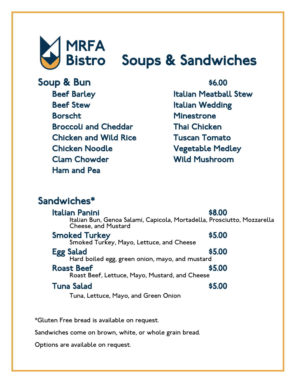

Beef Barley Beef Stew Borscht Broccoli and Cheddar Chicken and Wild Rice Chicken Noodle Clam Chowder Ham and Pea

Italian Meatball Stew Italian Wedding Minestrone Thai Chicken Tuscan Tomato Vegetable Medley Wild Mushroom

### Sandwiches\*

| Italian Panini<br><b>Cheese, and Mustard</b>                        | \$8,00<br>Italian Bun, Genoa Salami, Capicola, Mortadella, Prosciutto, Mozzarella |
|---------------------------------------------------------------------|-----------------------------------------------------------------------------------|
| <b>Smoked Turkey</b><br>Smoked Turkey, Mayo, Lettuce, and Cheese    | \$5.00                                                                            |
| <b>Egg Salad</b><br>Hard boiled egg, green onion, mayo, and mustard | \$5,00                                                                            |
| <b>Roast Beef</b><br>Roast Beef, Lettuce, Mayo, Mustard, and Cheese | \$5.00                                                                            |
| <b>Tuna Salad</b>                                                   | \$5,00                                                                            |
| Tuna, Lettuce, Mayo, and Green Onion                                |                                                                                   |

\*Gluten Free bread is available on request.

Sandwiches come on brown, white, or whole grain bread.

Options are available on request.